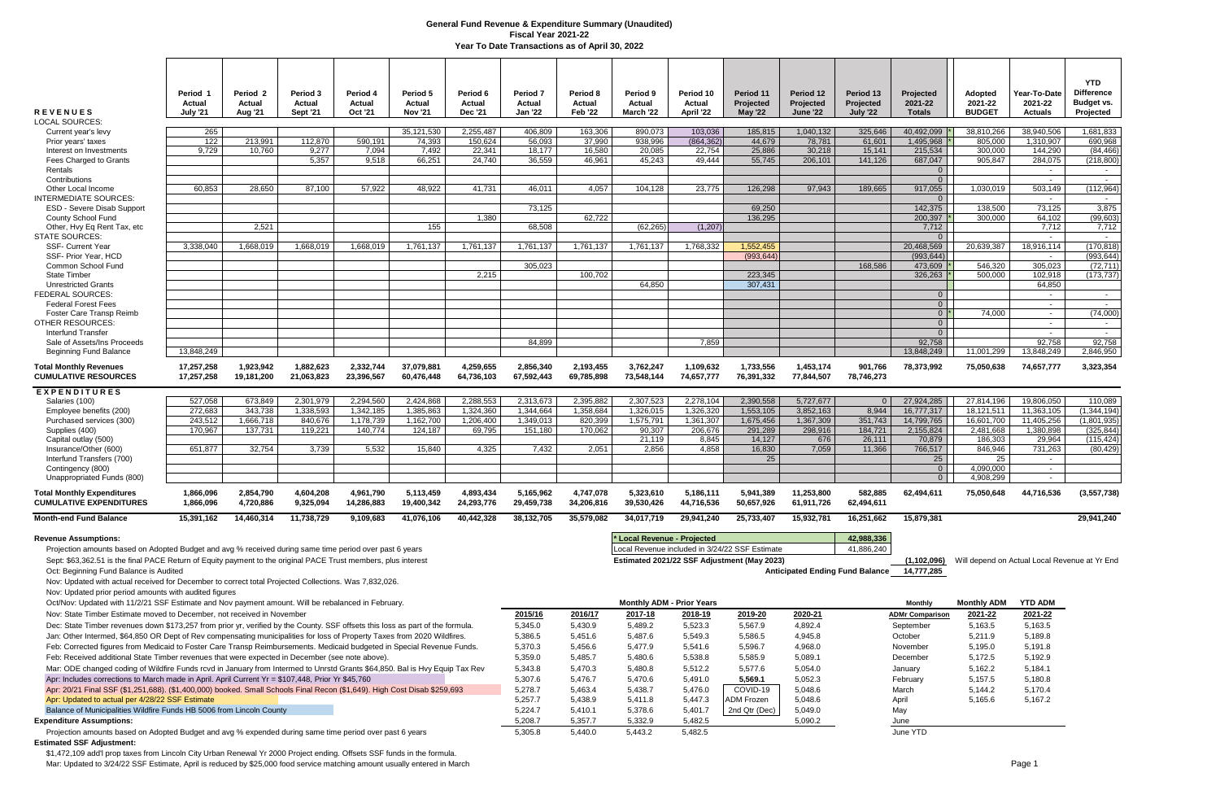\$1,472,109 add'l prop taxes from Lincoln City Urban Renewal Yr 2000 Project ending. Offsets SSF funds in the formula. Mar: Updated to 3/24/22 SSF Estimate, April is reduced by \$25,000 food service matching amount usually entered in March

| <b>REVENUES</b><br><b>LOCAL SOURCES:</b>                                                                                                                                                                                           | Period 1<br>Actual<br><b>July '21</b> | Period <sub>2</sub><br>Actual<br><b>Aug '21</b> | Period 3<br>Actual<br><b>Sept '21</b> | Period 4<br><b>Actual</b><br>Oct '21 | Period 5<br>Actual<br><b>Nov '21</b> | Period 6<br>Actual<br><b>Dec '21</b> | Period <sub>7</sub><br>Actual<br><b>Jan '22</b> | Period 8<br>Actual<br><b>Feb '22</b> | Period 9<br>Actual<br>March '22             | Period 10<br>Actual<br>April '22 | Period 11<br>Projected<br><b>May '22</b>       | Period 12<br>Projected<br><b>June '22</b> | Period 13<br>Projected<br><b>July '22</b> | Projected<br>2021-22<br><b>Totals</b>    | <b>Adopted</b><br>2021-22<br><b>BUDGET</b>    | Year-To-Date<br>2021-22<br><b>Actuals</b> | <b>YTD</b><br><b>Difference</b><br><b>Budget vs.</b><br>Projected |
|------------------------------------------------------------------------------------------------------------------------------------------------------------------------------------------------------------------------------------|---------------------------------------|-------------------------------------------------|---------------------------------------|--------------------------------------|--------------------------------------|--------------------------------------|-------------------------------------------------|--------------------------------------|---------------------------------------------|----------------------------------|------------------------------------------------|-------------------------------------------|-------------------------------------------|------------------------------------------|-----------------------------------------------|-------------------------------------------|-------------------------------------------------------------------|
| Current year's levy                                                                                                                                                                                                                | 265                                   |                                                 |                                       |                                      | 35,121,530                           | 2,255,487                            | 406,809                                         | 163,306                              | 890,073                                     | 103,036                          | 185,815                                        | 1,040,132                                 | 325,646                                   | 40,492,099                               | 38,810,266                                    | 38,940,506                                | 1,681,833                                                         |
| Prior years' taxes                                                                                                                                                                                                                 | 122<br>9,729                          | 213,991                                         | 112,870<br>9,277                      | 590,191                              | 74,393<br>7,492                      | 150,624<br>22,341                    | 56,093<br>18,177                                | 37,990<br>16,580                     | 938,996<br>20,085                           | (864, 362)<br>22,754             | 44,679<br>25,886                               | 78,781<br>30,218                          | 61,601<br>15,141                          | 1,495,968                                | 805,000<br>300,000                            | 1,310,907<br>144,290                      | 690,968                                                           |
| Interest on Investments<br>Fees Charged to Grants                                                                                                                                                                                  |                                       | 10,760                                          | 5,357                                 | 7,094<br>9,518                       | 66.251                               | 24.740                               | 36.559                                          | 46.961                               | 45.243                                      | 49.444                           | 55,745                                         | 206,101                                   | 141,126                                   | 215,534<br>687,047                       | 905.847                                       | 284,075                                   | (84, 466)<br>(218, 800)                                           |
| Rentals                                                                                                                                                                                                                            |                                       |                                                 |                                       |                                      |                                      |                                      |                                                 |                                      |                                             |                                  |                                                |                                           |                                           | $\overline{0}$                           |                                               | $\sim$                                    | $\sim$                                                            |
| Contributions<br>Other Local Income                                                                                                                                                                                                | 60,853                                | 28,650                                          | 87,100                                | 57,922                               | 48,922                               | 41.731                               | 46,011                                          | 4,057                                | 104,128                                     | 23,775                           | 126,298                                        | 97,943                                    | 189,665                                   | $\Omega$<br>917,055                      | 1,030,019                                     | 503,149                                   | (112, 964)                                                        |
| <b>INTERMEDIATE SOURCES:</b>                                                                                                                                                                                                       |                                       |                                                 |                                       |                                      |                                      |                                      |                                                 |                                      |                                             |                                  |                                                |                                           |                                           | $\overline{0}$                           |                                               | $\sim$ $-$                                | $\sim$ $-$                                                        |
| ESD - Severe Disab Support                                                                                                                                                                                                         |                                       |                                                 |                                       |                                      |                                      |                                      | 73.125                                          |                                      |                                             |                                  | 69.250                                         |                                           |                                           | 142,375                                  | 138.500                                       | 73,125                                    | 3,875                                                             |
| <b>County School Fund</b><br>Other, Hvy Eq Rent Tax, etc                                                                                                                                                                           |                                       | 2,521                                           |                                       |                                      | 155                                  | 1,380                                | 68.508                                          | 62,722                               | (62, 265)                                   | (1,207)                          | 136,295                                        |                                           |                                           | 200,397<br>7,712                         | 300,000                                       | 64,102<br>7.712                           | (99, 603)<br>7,712                                                |
| STATE SOURCES:                                                                                                                                                                                                                     |                                       |                                                 |                                       |                                      |                                      |                                      |                                                 |                                      |                                             |                                  |                                                |                                           |                                           | $\Omega$                                 |                                               |                                           | $\sim$                                                            |
| <b>SSF- Current Year</b>                                                                                                                                                                                                           | 3,338,040                             | 1,668,019                                       | 1,668,019                             | 1,668,019                            | 1,761,137                            | 1,761,137                            | 1,761,137                                       | 1,761,137                            | 1,761,137                                   | 1,768,332                        | 1,552,455                                      |                                           |                                           | 20,468,569                               | 20,639,387                                    | 18,916,114                                | (170, 818)                                                        |
| SSF- Prior Year, HCD<br>Common School Fund                                                                                                                                                                                         |                                       |                                                 |                                       |                                      |                                      |                                      | 305,023                                         |                                      |                                             |                                  | (993, 644)                                     |                                           | 168,586                                   | (993, 644)<br>473,609                    | 546,320                                       | $\sim$<br>305,023                         | (993, 644)<br>(72, 711)                                           |
| <b>State Timber</b>                                                                                                                                                                                                                |                                       |                                                 |                                       |                                      |                                      | 2,215                                |                                                 | 100.702                              |                                             |                                  | 223,345                                        |                                           |                                           | 326,263                                  | 500,000                                       | 102,918                                   | (173, 737)                                                        |
| <b>Unrestricted Grants</b>                                                                                                                                                                                                         |                                       |                                                 |                                       |                                      |                                      |                                      |                                                 |                                      | 64,850                                      |                                  | 307,431                                        |                                           |                                           |                                          |                                               | 64,850                                    |                                                                   |
| <b>FEDERAL SOURCES:</b><br><b>Federal Forest Fees</b>                                                                                                                                                                              |                                       |                                                 |                                       |                                      |                                      |                                      |                                                 |                                      |                                             |                                  |                                                |                                           |                                           | $\overline{0}$<br>$\overline{0}$         |                                               | $\sim$<br>$\overline{\phantom{a}}$        | $\sim$ $-$<br>$\sim$                                              |
| Foster Care Transp Reimb                                                                                                                                                                                                           |                                       |                                                 |                                       |                                      |                                      |                                      |                                                 |                                      |                                             |                                  |                                                |                                           |                                           | $0^*$                                    | 74,000                                        | $\sim$                                    | (74,000)                                                          |
| <b>OTHER RESOURCES:</b><br>Interfund Transfer                                                                                                                                                                                      |                                       |                                                 |                                       |                                      |                                      |                                      |                                                 |                                      |                                             |                                  |                                                |                                           |                                           | $\overline{0}$<br>$\overline{0}$         |                                               | $\sim$                                    | $\sim$<br>$\sim$                                                  |
| Sale of Assets/Ins Proceeds                                                                                                                                                                                                        |                                       |                                                 |                                       |                                      |                                      |                                      | 84,899                                          |                                      |                                             | 7,859                            |                                                |                                           |                                           | 92,758                                   |                                               | 92,758                                    | 92,758                                                            |
| <b>Beginning Fund Balance</b>                                                                                                                                                                                                      | 13.848.249                            |                                                 |                                       |                                      |                                      |                                      |                                                 |                                      |                                             |                                  |                                                |                                           |                                           | 13,848,249                               | 11,001,299                                    | 13,848,249                                | 2,846,950                                                         |
| <b>Total Monthly Revenues</b><br><b>CUMULATIVE RESOURCES</b>                                                                                                                                                                       | 17,257,258<br>17,257,258              | 1,923,942<br>19,181,200                         | 1,882,623<br>21,063,823               | 2,332,744<br>23,396,567              | 37,079,881<br>60,476,448             | 4,259,655<br>64,736,103              | 2,856,340<br>67,592,443                         | 2,193,455<br>69,785,898              | 3,762,247<br>73,548,144                     | 1,109,632<br>74,657,777          | 1,733,556<br>76,391,332                        | 1,453,174<br>77,844,507                   | 901,766<br>78,746,273                     | 78,373,992                               | 75,050,638                                    | 74,657,777                                | 3,323,354                                                         |
| <b>EXPENDITURES</b>                                                                                                                                                                                                                |                                       |                                                 |                                       |                                      |                                      |                                      |                                                 |                                      |                                             |                                  |                                                |                                           |                                           |                                          |                                               |                                           |                                                                   |
| Salaries (100)                                                                                                                                                                                                                     | 527,058<br>272,683                    | 673,849<br>343,738                              | 2,301,979<br>1,338,593                | 2,294,560<br>1,342,185               | 2,424,868                            | 2,288,553<br>1,324,360               | 2,313,673<br>1,344,664                          | 2,395,882<br>1,358,684               | 2,307,523<br>1,326,015                      | 2,278,104<br>1,326,320           | 2,390,558<br>1,553,105                         | 5,727,677<br>3,852,163                    | $\Omega$<br>8,944                         | 27,924,285<br>16,777,317                 | 27,814,196                                    | 19,806,050<br>11,363,105                  | 110,089                                                           |
| Employee benefits (200)<br>Purchased services (300)                                                                                                                                                                                | 243,512                               | 1,666,718                                       | 840.676                               | 1,178,739                            | 1,385,863<br>1,162,700               | 1,206,400                            | 1,349,013                                       | 820,399                              | 1,575,791                                   | 1,361,307                        | 1,675,456                                      | 1,367,309                                 | 351,743                                   | 14,799,765                               | 18,121,511<br>16,601,700                      | 11,405,256                                | (1,344,194)<br>(1,801,935)                                        |
| Supplies (400)                                                                                                                                                                                                                     | 170,967                               | 137,731                                         | 119,221                               | 140,774                              | 124,187                              | 69,795                               | 151,180                                         | 170,062                              | 90,307                                      | 206,676                          | 291,289                                        | 298,916                                   | 184,721                                   | 2,155,824                                | 2,481,668                                     | 1,380,898                                 | (325, 844)                                                        |
| Capital outlay (500)<br>Insurance/Other (600)                                                                                                                                                                                      | 651,877                               | 32,754                                          | 3,739                                 | 5,532                                | 15,840                               | 4,325                                | 7,432                                           | 2,051                                | 21,119<br>2,856                             | 8,845<br>4,858                   | 14,127<br>16,830                               | 676<br>7,059                              | 26,111<br>11,366                          | 70,879<br>766,517                        | 186.303<br>846,946                            | 29,964<br>731,263                         | (115, 424)<br>(80, 429)                                           |
| Interfund Transfers (700)                                                                                                                                                                                                          |                                       |                                                 |                                       |                                      |                                      |                                      |                                                 |                                      |                                             |                                  | 25                                             |                                           |                                           | 25                                       | 25                                            | $\sim$                                    |                                                                   |
| Contingency (800)                                                                                                                                                                                                                  |                                       |                                                 |                                       |                                      |                                      |                                      |                                                 |                                      |                                             |                                  |                                                |                                           |                                           | $\overline{0}$                           | 4,090,000                                     | $\sim$                                    |                                                                   |
| Unappropriated Funds (800)<br><b>Total Monthly Expenditures</b>                                                                                                                                                                    | 1,866,096                             | 2,854,790                                       | 4,604,208                             | 4,961,790                            | 5,113,459                            | 4,893,434                            | 5,165,962                                       | 4,747,078                            | 5,323,610                                   | 5,186,111                        | 5,941,389                                      | 11,253,800                                | 582.885                                   | $\overline{0}$<br>62,494,611             | 4,908,299<br>75,050,648                       | $\sim$<br>44,716,536                      | (3,557,738)                                                       |
| <b>CUMULATIVE EXPENDITURES</b>                                                                                                                                                                                                     | 1.866.096                             | 4.720.886                                       | 9.325.094                             | 14.286.883                           | 19.400.342                           | 24.293.776                           | 29,459,738                                      | 34.206.816                           | 39.530.426                                  | 44,716,536                       | 50,657,926                                     | 61.911.726                                | 62.494.611                                |                                          |                                               |                                           |                                                                   |
| <b>Month-end Fund Balance</b>                                                                                                                                                                                                      | 15,391,162                            | 14,460,314                                      | 11,738,729                            | 9,109,683                            | 41,076,106                           | 40,442,328                           | 38,132,705                                      | 35,579,082                           | 34,017,719<br>* Local Revenue - Projected   | 29,941,240                       | 25,733,407                                     | 15,932,781                                | 16,251,662<br>42,988,336                  | 15,879,381                               |                                               |                                           | 29,941,240                                                        |
| <b>Revenue Assumptions:</b><br>Projection amounts based on Adopted Budget and avg % received during same time period over past 6 years                                                                                             |                                       |                                                 |                                       |                                      |                                      |                                      |                                                 |                                      |                                             |                                  | Local Revenue included in 3/24/22 SSF Estimate |                                           | 41,886,240                                |                                          |                                               |                                           |                                                                   |
| Sept: \$63,362.51 is the final PACE Return of Equity payment to the original PACE Trust members, plus interest                                                                                                                     |                                       |                                                 |                                       |                                      |                                      |                                      |                                                 |                                      |                                             |                                  | Estimated 2021/22 SSF Adjustment (May 2023)    |                                           |                                           | (1,102,096)                              | Will depend on Actual Local Revenue at Yr End |                                           |                                                                   |
| Oct: Beginning Fund Balance is Audited<br>Nov: Updated with actual received for December to correct total Projected Collections. Was 7,832,026.                                                                                    |                                       |                                                 |                                       |                                      |                                      |                                      |                                                 |                                      |                                             |                                  |                                                |                                           | <b>Anticipated Ending Fund Balance</b>    | 14,777,285                               |                                               |                                           |                                                                   |
| Nov: Updated prior period amounts with audited figures                                                                                                                                                                             |                                       |                                                 |                                       |                                      |                                      |                                      |                                                 |                                      |                                             |                                  |                                                |                                           |                                           |                                          |                                               |                                           |                                                                   |
| Oct/Nov: Updated with 11/2/21 SSF Estimate and Nov payment amount. Will be rebalanced in February.<br>Nov: State Timber Estimate moved to December, not received in November                                                       |                                       |                                                 |                                       |                                      |                                      |                                      | 2015/16                                         | 2016/17                              | <b>Monthly ADM - Prior Years</b><br>2017-18 | 2018-19                          | 2019-20                                        | 2020-21                                   |                                           | <b>Monthly</b><br><b>ADMr Comparison</b> | Monthly ADM<br>2021-22                        | <b>YTD ADM</b><br>2021-22                 |                                                                   |
| Dec: State Timber revenues down \$173,257 from prior yr, verified by the County. SSF offsets this loss as part of the formula.                                                                                                     |                                       |                                                 |                                       |                                      |                                      |                                      | 5,345.0                                         | 5,430.9                              | 5,489.2                                     | 5,523.3                          | 5,567.9                                        | 4,892.4                                   |                                           | September                                | 5,163.5                                       | 5,163.5                                   |                                                                   |
| Jan: Other Intermed, \$64,850 OR Dept of Rev compensating municipalities for loss of Property Taxes from 2020 Wildfires.                                                                                                           |                                       |                                                 |                                       |                                      |                                      |                                      | 5,386.5                                         | 5,451.6                              | 5,487.6                                     | 5,549.3                          | 5,586.5                                        | 4,945.8                                   |                                           | October                                  | 5,211.9                                       | 5,189.8                                   |                                                                   |
| Feb: Corrected figures from Medicaid to Foster Care Transp Reimbursements. Medicaid budgeted in Special Revenue Funds.                                                                                                             |                                       |                                                 |                                       |                                      |                                      |                                      | 5,370.3                                         | 5,456.6                              | 5,477.9                                     | 5,541.6                          | 5,596.7                                        | 4,968.0                                   |                                           | November                                 | 5,195.0                                       | 5,191.8                                   |                                                                   |
| Feb: Received additional State Timber revenues that were expected in December (see note above).                                                                                                                                    |                                       |                                                 |                                       |                                      |                                      |                                      | 5,359.0                                         | 5,485.7                              | 5,480.6                                     | 5,538.8                          | 5,585.9                                        | 5,089.1                                   |                                           | December                                 | 5,172.5                                       | 5,192.9                                   |                                                                   |
| Mar: ODE changed coding of Wildfire Funds rcvd in January from Intermed to Unrstd Grants \$64,850. Bal is Hvy Equip Tax Rev<br>Apr: Includes corrections to March made in April. April Current Yr = $$107,448$ , Prior Yr \$45,760 |                                       |                                                 |                                       |                                      |                                      |                                      | 5,343.8<br>5,307.6                              | 5,470.3<br>5,476.7                   | 5,480.8<br>5,470.6                          | 5,512.2<br>5,491.0               | 5,577.6<br>5,569.1                             | 5,054.0<br>5,052.3                        |                                           | January<br>February                      | 5,162.2<br>5,157.5                            | 5,184.1<br>5,180.8                        |                                                                   |
| Apr: 20/21 Final SSF (\$1,251,688). (\$1,400,000) booked. Small Schools Final Recon (\$1,649). High Cost Disab \$259,693                                                                                                           |                                       |                                                 |                                       |                                      |                                      |                                      | 5,278.7                                         | 5,463.4                              | 5,438.7                                     | 5,476.0                          | COVID-19                                       | 5,048.6                                   |                                           | March                                    | 5,144.2                                       | 5,170.4                                   |                                                                   |
| Apr: Updated to actual per 4/28/22 SSF Estimate                                                                                                                                                                                    |                                       |                                                 |                                       |                                      |                                      |                                      | 5,257.7                                         | 5,438.9                              | 5,411.8                                     | 5,447.3                          | ADM Frozen                                     | 5,048.6                                   |                                           | April                                    | 5,165.6                                       | 5,167.2                                   |                                                                   |
| Balance of Municipalities Wildfire Funds HB 5006 from Lincoln County                                                                                                                                                               |                                       |                                                 |                                       |                                      |                                      |                                      | 5,224.7                                         | 5,410.1                              | 5,378.6                                     | 5,401.7                          | 2nd Qtr (Dec)                                  | 5,049.0                                   |                                           | May                                      |                                               |                                           |                                                                   |
| <b>Expenditure Assumptions:</b>                                                                                                                                                                                                    |                                       |                                                 |                                       |                                      |                                      |                                      | 5,208.7                                         | 5,357.7                              | 5,332.9                                     | 5,482.5                          |                                                | 5,090.2                                   |                                           | June                                     |                                               |                                           |                                                                   |
| Projection amounts based on Adopted Budget and avg % expended during same time period over past 6 years<br><b>Estimated SSF Adjustment:</b>                                                                                        |                                       |                                                 |                                       |                                      |                                      |                                      | 5,305.8                                         | 5,440.0                              | 5,443.2                                     | 5,482.5                          |                                                |                                           |                                           | June YTD                                 |                                               |                                           |                                                                   |

### **General Fund Revenue & Expenditure Summary (Unaudited) Fiscal Year 2021-22 Year To Date Transactions as of April 30, 2022**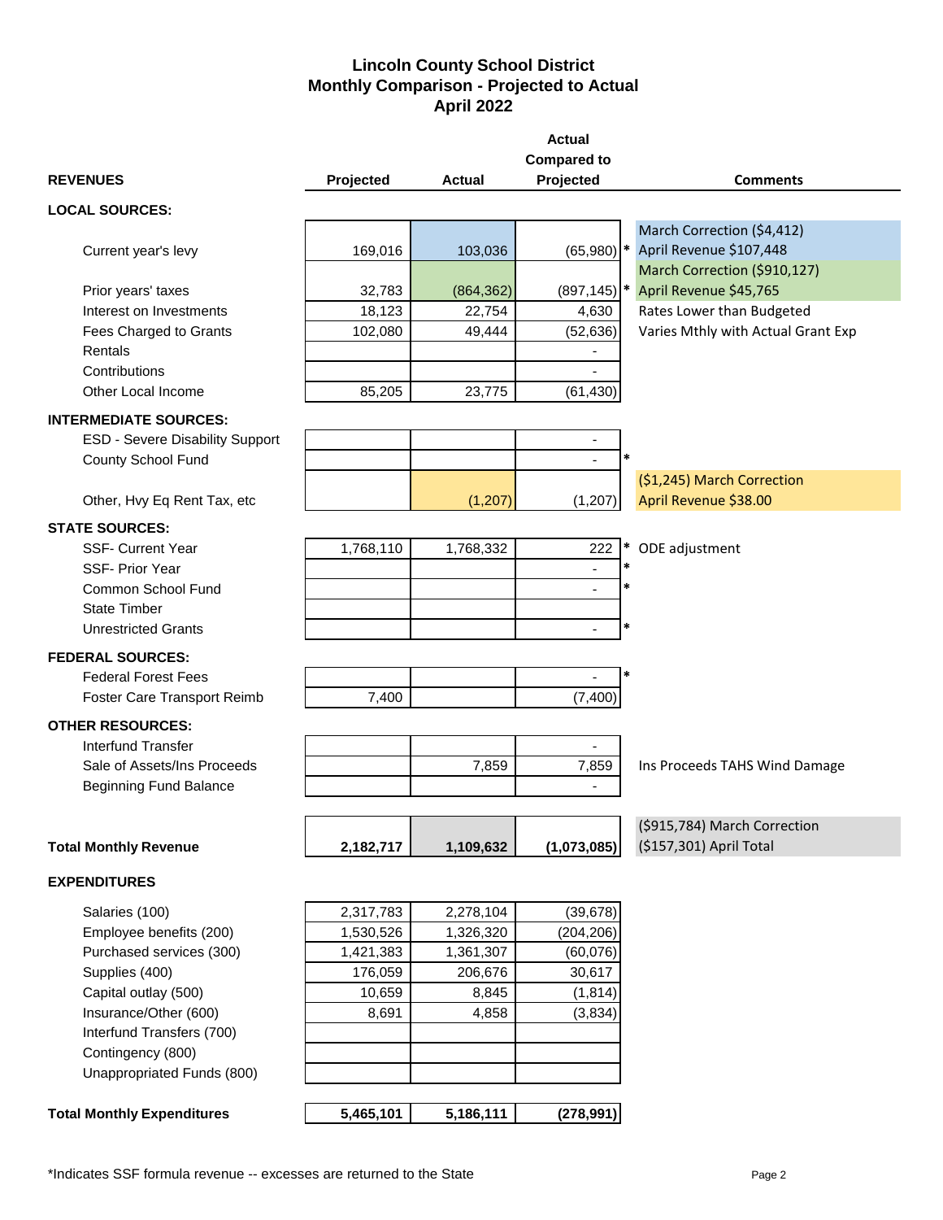## **Lincoln County School District Monthly Comparison - Projected to Actual April 2022**

| <b>REVENUES</b>                   | Projected | Actual     | <b>Actual</b><br><b>Compared to</b><br>Projected | <b>Comments</b>                                         |
|-----------------------------------|-----------|------------|--------------------------------------------------|---------------------------------------------------------|
|                                   |           |            |                                                  |                                                         |
| <b>LOCAL SOURCES:</b>             |           |            |                                                  |                                                         |
|                                   |           |            | $(65,980)$ *                                     | March Correction (\$4,412)                              |
| Current year's levy               | 169,016   | 103,036    |                                                  | April Revenue \$107,448<br>March Correction (\$910,127) |
| Prior years' taxes                | 32,783    | (864, 362) | $(897, 145)$ *                                   | April Revenue \$45,765                                  |
| Interest on Investments           | 18,123    | 22,754     | 4,630                                            | Rates Lower than Budgeted                               |
| Fees Charged to Grants            | 102,080   | 49,444     | (52, 636)                                        | Varies Mthly with Actual Grant Exp                      |
| Rentals                           |           |            |                                                  |                                                         |
| Contributions                     |           |            |                                                  |                                                         |
| Other Local Income                | 85,205    | 23,775     | (61, 430)                                        |                                                         |
|                                   |           |            |                                                  |                                                         |
| <b>INTERMEDIATE SOURCES:</b>      |           |            |                                                  |                                                         |
| ESD - Severe Disability Support   |           |            | ۰                                                |                                                         |
| County School Fund                |           |            | *                                                |                                                         |
|                                   |           |            |                                                  | (\$1,245) March Correction                              |
| Other, Hvy Eq Rent Tax, etc       |           | (1, 207)   | (1, 207)                                         | April Revenue \$38.00                                   |
| <b>STATE SOURCES:</b>             |           |            |                                                  |                                                         |
| <b>SSF- Current Year</b>          | 1,768,110 | 1,768,332  | $\ast$<br>222                                    | ODE adjustment                                          |
| <b>SSF-Prior Year</b>             |           |            | $\ast$                                           |                                                         |
| Common School Fund                |           |            | *                                                |                                                         |
| <b>State Timber</b>               |           |            |                                                  |                                                         |
| <b>Unrestricted Grants</b>        |           |            | *                                                |                                                         |
| <b>FEDERAL SOURCES:</b>           |           |            |                                                  |                                                         |
| <b>Federal Forest Fees</b>        |           |            |                                                  |                                                         |
| Foster Care Transport Reimb       | 7,400     |            | (7, 400)                                         |                                                         |
| <b>OTHER RESOURCES:</b>           |           |            |                                                  |                                                         |
| <b>Interfund Transfer</b>         |           |            |                                                  |                                                         |
| Sale of Assets/Ins Proceeds       |           | 7,859      | 7,859                                            | Ins Proceeds TAHS Wind Damage                           |
| <b>Beginning Fund Balance</b>     |           |            |                                                  |                                                         |
|                                   |           |            |                                                  |                                                         |
|                                   |           |            |                                                  | (\$915,784) March Correction                            |
| <b>Total Monthly Revenue</b>      | 2,182,717 | 1,109,632  | (1,073,085)                                      | (\$157,301) April Total                                 |
| <b>EXPENDITURES</b>               |           |            |                                                  |                                                         |
| Salaries (100)                    | 2,317,783 | 2,278,104  | (39, 678)                                        |                                                         |
| Employee benefits (200)           | 1,530,526 | 1,326,320  | (204, 206)                                       |                                                         |
| Purchased services (300)          | 1,421,383 | 1,361,307  | (60, 076)                                        |                                                         |
| Supplies (400)                    | 176,059   | 206,676    | 30,617                                           |                                                         |
| Capital outlay (500)              | 10,659    | 8,845      | (1, 814)                                         |                                                         |
| Insurance/Other (600)             | 8,691     | 4,858      | (3,834)                                          |                                                         |
| Interfund Transfers (700)         |           |            |                                                  |                                                         |
| Contingency (800)                 |           |            |                                                  |                                                         |
| Unappropriated Funds (800)        |           |            |                                                  |                                                         |
|                                   |           |            |                                                  |                                                         |
| <b>Total Monthly Expenditures</b> | 5,465,101 | 5,186,111  | (278, 991)                                       |                                                         |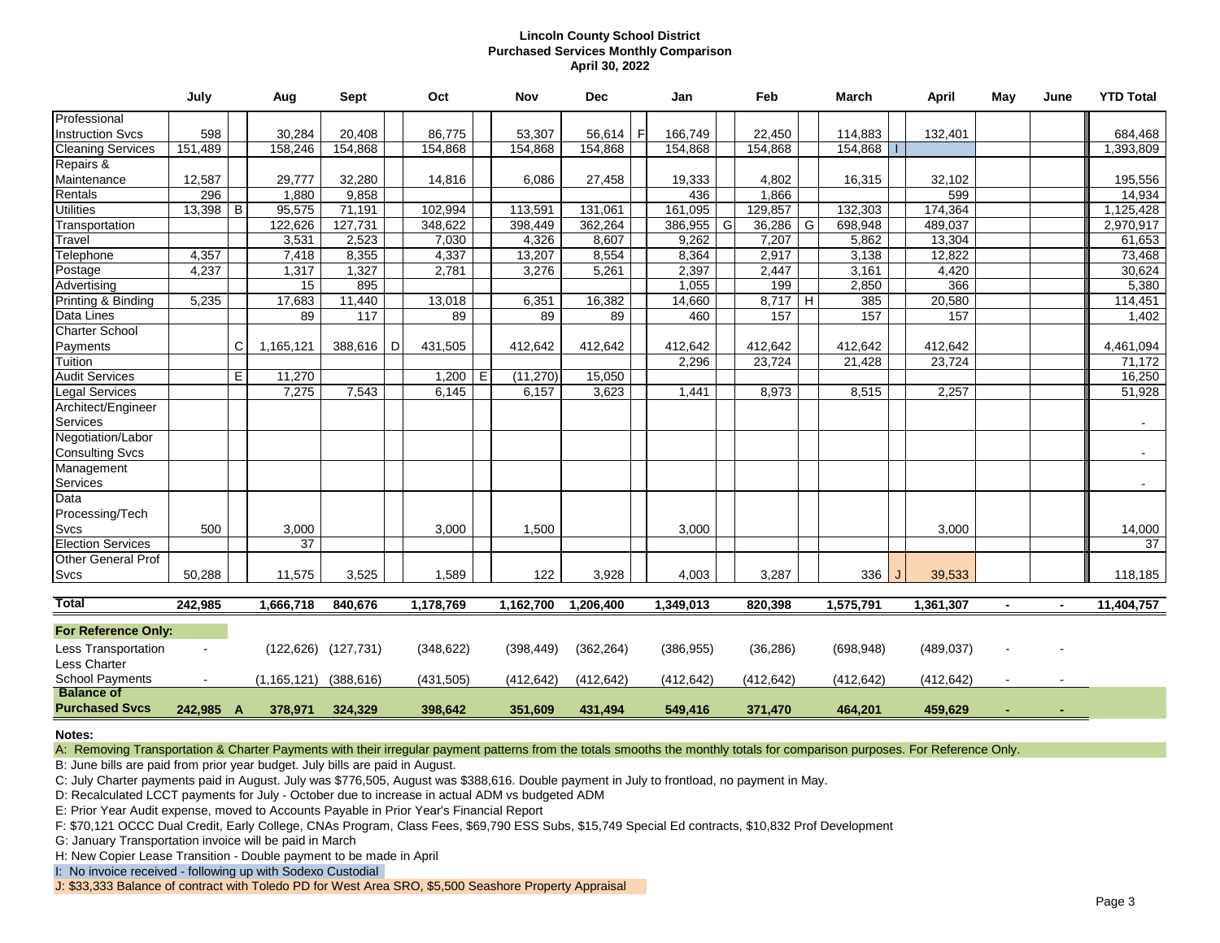### **Lincoln County School District Purchased Services Monthly Comparison April 30, 2022**

|                            | July           |   | Aug           | <b>Sept</b>               |   | Oct        |   | <b>Nov</b> | <b>Dec</b> |   | Jan        |   | Feb        |   | <b>March</b> | <b>April</b> | May | June | <b>YTD Total</b> |
|----------------------------|----------------|---|---------------|---------------------------|---|------------|---|------------|------------|---|------------|---|------------|---|--------------|--------------|-----|------|------------------|
| Professional               |                |   |               |                           |   |            |   |            |            |   |            |   |            |   |              |              |     |      |                  |
| <b>Instruction Svcs</b>    | 598            |   | 30,284        | 20,408                    |   | 86,775     |   | 53,307     | 56,614     | F | 166,749    |   | 22,450     |   | 114,883      | 132,401      |     |      | 684,468          |
| <b>Cleaning Services</b>   | 151,489        |   | 158,246       | 154,868                   |   | 154,868    |   | 154,868    | 154,868    |   | 154,868    |   | 154,868    |   | 154,868      |              |     |      | 1,393,809        |
| Repairs &                  |                |   |               |                           |   |            |   |            |            |   |            |   |            |   |              |              |     |      |                  |
| Maintenance                | 12,587         |   | 29,777        | 32,280                    |   | 14,816     |   | 6,086      | 27,458     |   | 19,333     |   | 4,802      |   | 16,315       | 32,102       |     |      | 195,556          |
| Rentals                    | 296            |   | 1,880         | 9,858                     |   |            |   |            |            |   | 436        |   | 1,866      |   |              | 599          |     |      | 14,934           |
| <b>Utilities</b>           | 13,398         | B | 95.575        | 71,191                    |   | 102.994    |   | 113.591    | 131.061    |   | 161,095    |   | 129,857    |   | 132.303      | 174,364      |     |      | 1,125,428        |
| Transportation             |                |   | 122,626       | 127,731                   |   | 348,622    |   | 398,449    | 362,264    |   | 386,955    | G | 36,286     | G | 698,948      | 489,037      |     |      | 2,970,917        |
| Travel                     |                |   | 3,531         | 2,523                     |   | 7,030      |   | 4,326      | 8,607      |   | 9,262      |   | 7,207      |   | 5,862        | 13,304       |     |      | 61,653           |
| Telephone                  | 4,357          |   | 7,418         | 8,355                     |   | 4,337      |   | 13,207     | 8,554      |   | 8,364      |   | 2,917      |   | 3,138        | 12,822       |     |      | 73,468           |
| Postage                    | 4,237          |   | 1,317         | 1,327                     |   | 2,781      |   | 3,276      | 5,261      |   | 2,397      |   | 2,447      |   | 3,161        | 4,420        |     |      | 30,624           |
| Advertising                |                |   | 15            | 895                       |   |            |   |            |            |   | 1,055      |   | 199        |   | 2,850        | 366          |     |      | 5,380            |
| Printing & Binding         | 5,235          |   | 17,683        | 11,440                    |   | 13,018     |   | 6,351      | 16,382     |   | 14,660     |   | 8,717      | H | 385          | 20,580       |     |      | 114,451          |
| Data Lines                 |                |   | 89            | 117                       |   | 89         |   | 89         | 89         |   | 460        |   | 157        |   | 157          | 157          |     |      | 1,402            |
| Charter School             |                |   |               |                           |   |            |   |            |            |   |            |   |            |   |              |              |     |      |                  |
| Payments                   |                | C | 1,165,121     | 388,616                   | D | 431,505    |   | 412,642    | 412,642    |   | 412,642    |   | 412,642    |   | 412,642      | 412,642      |     |      | 4,461,094        |
| Tuition                    |                |   |               |                           |   |            |   |            |            |   | 2,296      |   | 23,724     |   | 21,428       | 23,724       |     |      | 71,172           |
| <b>Audit Services</b>      |                | Ε | 11,270        |                           |   | 1,200      | Е | (11, 270)  | 15,050     |   |            |   |            |   |              |              |     |      | 16,250           |
| Legal Services             |                |   | 7,275         | 7,543                     |   | 6,145      |   | 6,157      | 3,623      |   | 1,441      |   | 8,973      |   | 8,515        | 2,257        |     |      | 51,928           |
| Architect/Engineer         |                |   |               |                           |   |            |   |            |            |   |            |   |            |   |              |              |     |      |                  |
| Services                   |                |   |               |                           |   |            |   |            |            |   |            |   |            |   |              |              |     |      | $\sim$           |
| Negotiation/Labor          |                |   |               |                           |   |            |   |            |            |   |            |   |            |   |              |              |     |      |                  |
| <b>Consulting Svcs</b>     |                |   |               |                           |   |            |   |            |            |   |            |   |            |   |              |              |     |      | $\sim$           |
| Management                 |                |   |               |                           |   |            |   |            |            |   |            |   |            |   |              |              |     |      |                  |
| Services                   |                |   |               |                           |   |            |   |            |            |   |            |   |            |   |              |              |     |      |                  |
| Data                       |                |   |               |                           |   |            |   |            |            |   |            |   |            |   |              |              |     |      |                  |
| Processing/Tech            |                |   |               |                           |   |            |   |            |            |   |            |   |            |   |              |              |     |      |                  |
| Svcs                       | 500            |   | 3,000         |                           |   | 3,000      |   | 1,500      |            |   | 3,000      |   |            |   |              | 3,000        |     |      | 14,000           |
| <b>Election Services</b>   |                |   | 37            |                           |   |            |   |            |            |   |            |   |            |   |              |              |     |      | 37               |
| <b>Other General Prof</b>  |                |   |               |                           |   |            |   |            |            |   |            |   |            |   |              |              |     |      |                  |
| Svcs                       | 50,288         |   | 11,575        | 3,525                     |   | 1,589      |   | 122        | 3,928      |   | 4,003      |   | 3,287      |   | 336          | 39,533       |     |      | 118,185          |
|                            |                |   |               |                           |   |            |   |            |            |   |            |   |            |   |              |              |     |      |                  |
| <b>Total</b>               | 242,985        |   | 1,666,718     | 840,676                   |   | 1,178,769  |   | 1,162,700  | 1,206,400  |   | 1,349,013  |   | 820,398    |   | 1,575,791    | 1,361,307    |     |      | 11,404,757       |
| For Reference Only:        |                |   |               |                           |   |            |   |            |            |   |            |   |            |   |              |              |     |      |                  |
| <b>Less Transportation</b> |                |   |               | $(122, 626)$ $(127, 731)$ |   | (348, 622) |   | (398, 449) | (362, 264) |   | (386, 955) |   | (36, 286)  |   | (698, 948)   | (489, 037)   |     |      |                  |
| Less Charter               |                |   |               |                           |   |            |   |            |            |   |            |   |            |   |              |              |     |      |                  |
| <b>School Payments</b>     | $\blacksquare$ |   | (1, 165, 121) | (388, 616)                |   | (431, 505) |   | (412, 642) | (412, 642) |   | (412, 642) |   | (412, 642) |   | (412, 642)   | (412, 642)   |     |      |                  |
| <b>Balance of</b>          |                |   |               |                           |   |            |   |            |            |   |            |   |            |   |              |              |     |      |                  |
| <b>Purchased Svcs</b>      | 242,985 A      |   | 378,971       | 324,329                   |   | 398,642    |   | 351,609    | 431,494    |   | 549,416    |   | 371,470    |   | 464,201      | 459,629      | ٠   |      |                  |

### **Notes:**

A: Removing Transportation & Charter Payments with their irregular payment patterns from the totals smooths the monthly totals for comparison purposes. For Reference Only.

B: June bills are paid from prior year budget. July bills are paid in August.

C: July Charter payments paid in August. July was \$776,505, August was \$388,616. Double payment in July to frontload, no payment in May.

D: Recalculated LCCT payments for July - October due to increase in actual ADM vs budgeted ADM

E: Prior Year Audit expense, moved to Accounts Payable in Prior Year's Financial Report

F: \$70,121 OCCC Dual Credit, Early College, CNAs Program, Class Fees, \$69,790 ESS Subs, \$15,749 Special Ed contracts, \$10,832 Prof Development

G: January Transportation invoice will be paid in March

H: New Copier Lease Transition - Double payment to be made in April

I: No invoice received - following up with Sodexo Custodial

J: \$33,333 Balance of contract with Toledo PD for West Area SRO, \$5,500 Seashore Property Appraisal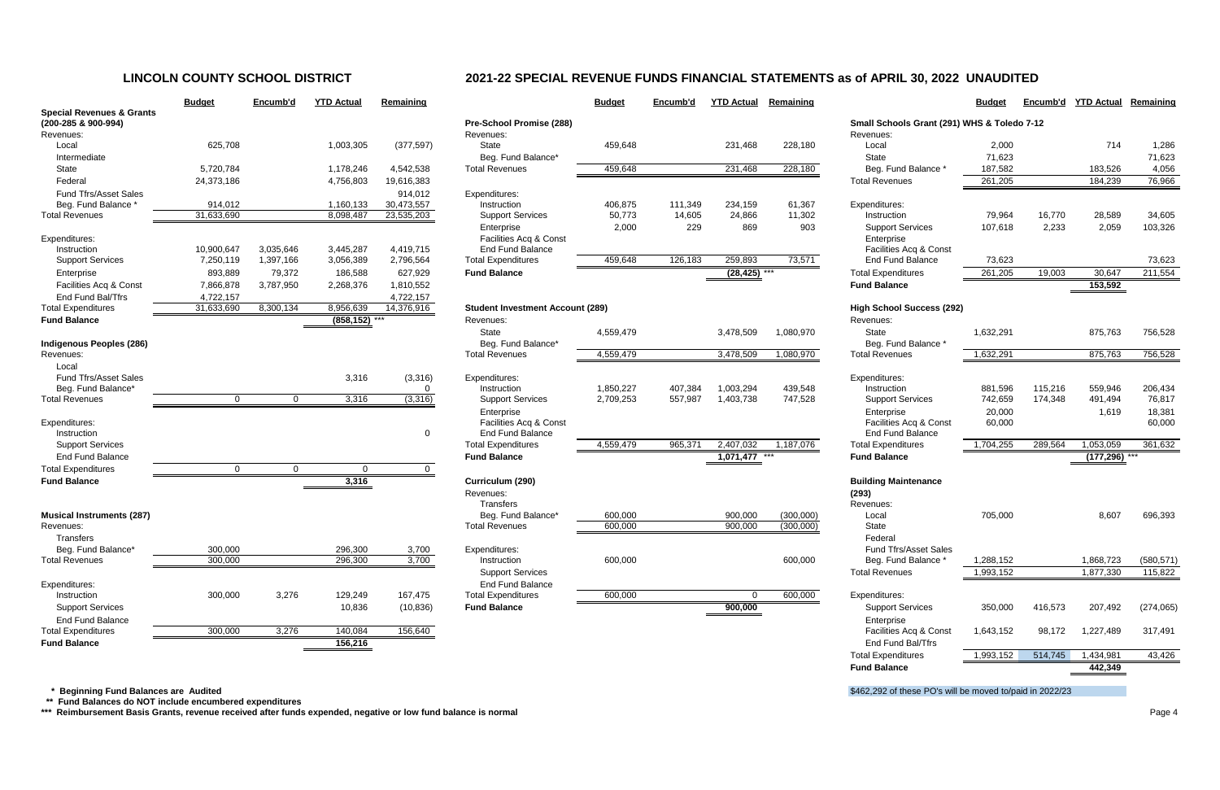|                                              | <b>Budget</b>         | Encumb'd    | <b>YTD Actual</b>      | Remaining                |                                            |
|----------------------------------------------|-----------------------|-------------|------------------------|--------------------------|--------------------------------------------|
| <b>Special Revenues &amp; Grants</b>         |                       |             |                        |                          |                                            |
| (200-285 & 900-994)                          |                       |             |                        |                          | Pre-School Promise                         |
| Revenues:<br>Local                           | 625,708               |             |                        |                          | Revenues:<br>State                         |
|                                              |                       |             | 1,003,305              | (377, 597)               |                                            |
| Intermediate                                 |                       |             |                        |                          | Beg. Fund Balance<br><b>Total Revenues</b> |
| <b>State</b>                                 | 5,720,784             |             | 1,178,246              | 4,542,538                |                                            |
| Federal                                      | 24,373,186            |             | 4,756,803              | 19,616,383               |                                            |
| <b>Fund Tfrs/Asset Sales</b>                 |                       |             |                        | 914,012                  | Expenditures:<br>Instruction               |
| Beg. Fund Balance *<br><b>Total Revenues</b> | 914,012<br>31,633,690 |             | 1,160,133<br>8,098,487 | 30,473,557<br>23,535,203 | <b>Support Services</b>                    |
|                                              |                       |             |                        |                          |                                            |
| Expenditures:                                |                       |             |                        |                          | Enterprise<br>Facilities Acq & Co          |
| Instruction                                  | 10,900,647            | 3,035,646   | 3,445,287              | 4,419,715                | <b>End Fund Balance</b>                    |
| <b>Support Services</b>                      | 7,250,119             | 1,397,166   | 3,056,389              | 2,796,564                | <b>Total Expenditures</b>                  |
| Enterprise                                   | 893,889               | 79,372      | 186,588                | 627,929                  | <b>Fund Balance</b>                        |
| Facilities Acq & Const                       | 7,866,878             | 3,787,950   | 2,268,376              | 1,810,552                |                                            |
| End Fund Bal/Tfrs                            | 4,722,157             |             |                        | 4,722,157                |                                            |
| <b>Total Expenditures</b>                    | 31,633,690            | 8,300,134   | 8,956,639              | 14,376,916               | Student Investment /                       |
| <b>Fund Balance</b>                          |                       |             | (858, 152)             |                          | Revenues:                                  |
|                                              |                       |             |                        |                          | <b>State</b>                               |
| <b>Indigenous Peoples (286)</b>              |                       |             |                        |                          | Beg. Fund Balance                          |
| Revenues:                                    |                       |             |                        |                          | <b>Total Revenues</b>                      |
| Local                                        |                       |             |                        |                          |                                            |
| <b>Fund Tfrs/Asset Sales</b>                 |                       |             | 3,316                  | (3,316)                  | Expenditures:<br>Instruction               |
| Beg. Fund Balance*<br><b>Total Revenues</b>  | 0                     | 0           | 3,316                  | 0<br>(3, 316)            | <b>Support Services</b>                    |
|                                              |                       |             |                        |                          |                                            |
| Expenditures:                                |                       |             |                        |                          | Enterprise<br>Facilities Acq & Co          |
| Instruction                                  |                       |             |                        | 0                        | <b>End Fund Balance</b>                    |
| <b>Support Services</b>                      |                       |             |                        |                          | <b>Total Expenditures</b>                  |
| <b>End Fund Balance</b>                      |                       |             |                        |                          | <b>Fund Balance</b>                        |
| <b>Total Expenditures</b>                    | $\mathbf 0$           | $\mathbf 0$ | $\mathbf 0$            | 0                        |                                            |
| <b>Fund Balance</b>                          |                       |             | 3,316                  |                          | Curriculum (290)                           |
|                                              |                       |             |                        |                          | Revenues:                                  |
|                                              |                       |             |                        |                          | Transfers                                  |
| <b>Musical Instruments (287)</b>             |                       |             |                        |                          | Beg. Fund Balance                          |
| Revenues:                                    |                       |             |                        |                          | <b>Total Revenues</b>                      |
| <b>Transfers</b>                             |                       |             |                        |                          |                                            |
| Beg. Fund Balance*                           | 300,000               |             | 296,300                | 3,700                    | Expenditures:                              |
| <b>Total Revenues</b>                        | 300,000               |             | 296,300                | 3,700                    | Instruction                                |
|                                              |                       |             |                        |                          | <b>Support Services</b>                    |
| Expenditures:                                |                       |             |                        |                          | <b>End Fund Balance</b>                    |
| Instruction                                  | 300,000               | 3,276       | 129,249                | 167,475                  | <b>Total Expenditures</b>                  |
| <b>Support Services</b>                      |                       |             | 10,836                 | (10, 836)                | <b>Fund Balance</b>                        |
| End Fund Balance                             |                       |             |                        |                          |                                            |
| <b>Total Expenditures</b>                    | 300,000               | 3,276       | 140,084                | 156,640                  |                                            |
| Eund Polonco                                 |                       |             | 456, 246               |                          |                                            |

|                                                             | <b>Budget</b> | Encumb'd  | <b>YTD Actual</b> | Remaining    |                                         | <b>Budget</b> | Encumb'd | <b>YTD Actual</b> | Remaining |                                             | <b>Budget</b> | Encumb'd | <b>YTD Actual</b> | Remaining  |
|-------------------------------------------------------------|---------------|-----------|-------------------|--------------|-----------------------------------------|---------------|----------|-------------------|-----------|---------------------------------------------|---------------|----------|-------------------|------------|
| <b>Special Revenues &amp; Grants</b><br>(200-285 & 900-994) |               |           |                   |              | Pre-School Promise (288)                |               |          |                   |           | Small Schools Grant (291) WHS & Toledo 7-12 |               |          |                   |            |
| Revenues:                                                   |               |           |                   |              | Revenues:                               |               |          |                   |           | Revenues:                                   |               |          |                   |            |
| Local                                                       | 625,708       |           | 1,003,305         | (377, 597)   | <b>State</b>                            | 459,648       |          | 231,468           | 228,180   | Local                                       | 2,000         |          | 714               | 1,286      |
| Intermediate                                                |               |           |                   |              | Beg. Fund Balance*                      |               |          |                   |           | State                                       | 71,623        |          |                   | 71,623     |
| State                                                       | 5,720,784     |           | 1,178,246         | 4,542,538    | <b>Total Revenues</b>                   | 459,648       |          | 231,468           | 228,180   | Beg. Fund Balance *                         | 187,582       |          | 183,526           | 4,056      |
| Federal                                                     | 24,373,186    |           | 4,756,803         | 19,616,383   |                                         |               |          |                   |           | <b>Total Revenues</b>                       | 261,205       |          | 184,239           | 76,966     |
| Fund Tfrs/Asset Sales                                       |               |           |                   | 914,012      | Expenditures:                           |               |          |                   |           |                                             |               |          |                   |            |
| Beg. Fund Balance                                           | 914,012       |           | 1,160,133         | 30,473,557   | Instruction                             | 406,875       | 111,349  | 234,159           | 61,367    | Expenditures:                               |               |          |                   |            |
| <b>Total Revenues</b>                                       | 31,633,690    |           | 8,098,487         | 23,535,203   | <b>Support Services</b>                 | 50,773        | 14,605   | 24,866            | 11,302    | Instruction                                 | 79,964        | 16,770   | 28,589            | 34,605     |
|                                                             |               |           |                   |              | Enterprise                              | 2,000         | 229      | 869               | 903       | <b>Support Services</b>                     | 107,618       | 2,233    | 2,059             | 103,326    |
| Expenditures:                                               |               |           |                   |              | Facilities Acq & Const                  |               |          |                   |           | Enterprise                                  |               |          |                   |            |
| Instruction                                                 | 10,900,647    | 3,035,646 | 3,445,287         | 4,419,715    | <b>End Fund Balance</b>                 |               |          |                   |           | Facilities Acq & Const                      |               |          |                   |            |
| <b>Support Services</b>                                     | 7,250,119     | 1,397,166 | 3,056,389         | 2,796,564    | <b>Total Expenditures</b>               | 459,648       | 126,183  | 259,893           | 73,571    | <b>End Fund Balance</b>                     | 73,623        |          |                   | 73,623     |
| Enterprise                                                  | 893,889       | 79,372    | 186,588           | 627,929      | <b>Fund Balance</b>                     |               |          | (28, 425)         |           | <b>Total Expenditures</b>                   | 261,205       | 19,003   | 30,647            | 211,554    |
| Facilities Acq & Const                                      | 7,866,878     | 3,787,950 | 2,268,376         | 1,810,552    |                                         |               |          |                   |           | <b>Fund Balance</b>                         |               |          | 153,592           |            |
| End Fund Bal/Tfrs                                           | 4,722,157     |           |                   | 4,722,157    |                                         |               |          |                   |           |                                             |               |          |                   |            |
| <b>Total Expenditures</b>                                   | 31,633,690    | 8,300,134 | 8,956,639         | 14,376,916   | <b>Student Investment Account (289)</b> |               |          |                   |           | <b>High School Success (292)</b>            |               |          |                   |            |
| <b>Fund Balance</b>                                         |               |           | $(858, 152)$ ***  |              | Revenues:                               |               |          |                   |           | Revenues:                                   |               |          |                   |            |
|                                                             |               |           |                   |              | <b>State</b>                            | 4,559,479     |          | 3,478,509         | 1,080,970 | <b>State</b>                                | 1,632,291     |          | 875,763           | 756,528    |
| Indigenous Peoples (286)                                    |               |           |                   |              | Beg. Fund Balance*                      |               |          |                   |           | Beg. Fund Balance *                         |               |          |                   |            |
| Revenues:                                                   |               |           |                   |              | <b>Total Revenues</b>                   | 4,559,479     |          | 3,478,509         | 1,080,970 | <b>Total Revenues</b>                       | 1,632,291     |          | 875,763           | 756,528    |
| Local                                                       |               |           |                   |              |                                         |               |          |                   |           |                                             |               |          |                   |            |
| <b>Fund Tfrs/Asset Sales</b>                                |               |           | 3,316             | (3,316)      | Expenditures:                           |               |          |                   |           | Expenditures:                               |               |          |                   |            |
| Beg. Fund Balance*                                          |               |           |                   | 0            | Instruction                             | 1,850,227     | 407,384  | 1,003,294         | 439,548   | Instruction                                 | 881,596       | 115,216  | 559,946           | 206,434    |
| <b>Total Revenues</b>                                       | $\Omega$      | $\Omega$  | 3,316             | (3,316)      | <b>Support Services</b>                 | 2,709,253     | 557,987  | 1,403,738         | 747,528   | <b>Support Services</b>                     | 742,659       | 174,348  | 491,494           | 76,817     |
|                                                             |               |           |                   |              | Enterprise                              |               |          |                   |           | Enterprise                                  | 20,000        |          | 1,619             | 18,381     |
| Expenditures:                                               |               |           |                   |              | Facilities Acq & Const                  |               |          |                   |           | Facilities Acq & Const                      | 60,000        |          |                   | 60,000     |
| Instruction                                                 |               |           |                   | $\mathbf{0}$ | <b>End Fund Balance</b>                 |               |          |                   |           | <b>End Fund Balance</b>                     |               |          |                   |            |
| <b>Support Services</b>                                     |               |           |                   |              | <b>Total Expenditures</b>               | 4,559,479     | 965,371  | 2,407,032         | 1,187,076 | <b>Total Expenditures</b>                   | 1,704,255     | 289,564  | 1,053,059         | 361,632    |
| <b>End Fund Balance</b>                                     |               |           |                   |              | <b>Fund Balance</b>                     |               |          | 1,071,477         | ***       | <b>Fund Balance</b>                         |               |          | (177, 296)        |            |
| <b>Total Expenditures</b>                                   | $\mathbf{0}$  | $\Omega$  | $\mathbf{0}$      | 0            |                                         |               |          |                   |           |                                             |               |          |                   |            |
| <b>Fund Balance</b>                                         |               |           | 3,316             |              | Curriculum (290)                        |               |          |                   |           | <b>Building Maintenance</b>                 |               |          |                   |            |
|                                                             |               |           |                   |              | Revenues:                               |               |          |                   |           | (293)                                       |               |          |                   |            |
|                                                             |               |           |                   |              | Transfers                               |               |          |                   |           | Revenues:                                   |               |          |                   |            |
| <b>Musical Instruments (287)</b>                            |               |           |                   |              | Beg. Fund Balance*                      | 600,000       |          | 900,000           | (300,000) | Local                                       | 705,000       |          | 8,607             | 696,393    |
| Revenues:                                                   |               |           |                   |              | <b>Total Revenues</b>                   | 600,000       |          | 900,000           | (300,000) | State                                       |               |          |                   |            |
| Transfers                                                   |               |           |                   |              |                                         |               |          |                   |           | Federal                                     |               |          |                   |            |
| Beg. Fund Balance*                                          | 300,000       |           | 296,300           | 3,700        | Expenditures:                           |               |          |                   |           | Fund Tfrs/Asset Sales                       |               |          |                   |            |
| <b>Total Revenues</b>                                       | 300,000       |           | 296,300           | 3,700        | Instruction                             | 600,000       |          |                   | 600,000   | Beg. Fund Balance                           | 1,288,152     |          | 1,868,723         | (580, 571) |
|                                                             |               |           |                   |              | <b>Support Services</b>                 |               |          |                   |           | <b>Total Revenues</b>                       | 1,993,152     |          | 1,877,330         | 115,822    |
| Expenditures:                                               |               |           |                   |              | End Fund Balance                        |               |          |                   |           |                                             |               |          |                   |            |
| Instruction                                                 | 300,000       | 3,276     | 129,249           | 167,475      | <b>Total Expenditures</b>               | 600,000       |          | $\Omega$          | 600,000   | Expenditures:                               |               |          |                   |            |
| <b>Support Services</b>                                     |               |           | 10,836            | (10, 836)    | <b>Fund Balance</b>                     |               |          | 900,000           |           | <b>Support Services</b>                     | 350,000       | 416,573  | 207,492           | (274, 065) |
| <b>End Fund Balance</b>                                     |               |           |                   |              |                                         |               |          |                   |           | Enterprise                                  |               |          |                   |            |
| <b>Total Expenditures</b>                                   | 300,000       | 3,276     | 140,084           | 156,640      |                                         |               |          |                   |           | Facilities Acq & Const                      | 1,643,152     | 98,172   | 1,227,489         | 317,491    |
| <b>Fund Balance</b>                                         |               |           | 156,216           |              |                                         |               |          |                   |           | End Fund Bal/Tfrs                           |               |          |                   |            |
|                                                             |               |           |                   |              |                                         |               |          |                   |           | <b>Total Expenditures</b>                   | 1,993,152     | 514,745  | 1,434,981         | 43,426     |
|                                                             |               |           |                   |              |                                         |               |          |                   |           | <b>Fund Balance</b>                         |               |          | 442,349           |            |
|                                                             |               |           |                   |              |                                         |               |          |                   |           |                                             |               |          |                   |            |

 **\* Beginning Fund Balances are Audited** \$462,292 of these PO's will be moved to/paid in 2022/23

 **\*\* Fund Balances do NOT include encumbered expenditures**

\*\*\* Reimbursement Basis Grants, revenue received after funds expended, negative or low fund balance is normal **Page 1** Page 1

# **LINCOLN COUNTY SCHOOL DISTRICT 2021-22 SPECIAL REVENUE FUNDS FINANCIAL STATEMENTS as of APRIL 30, 2022 UNAUDITED**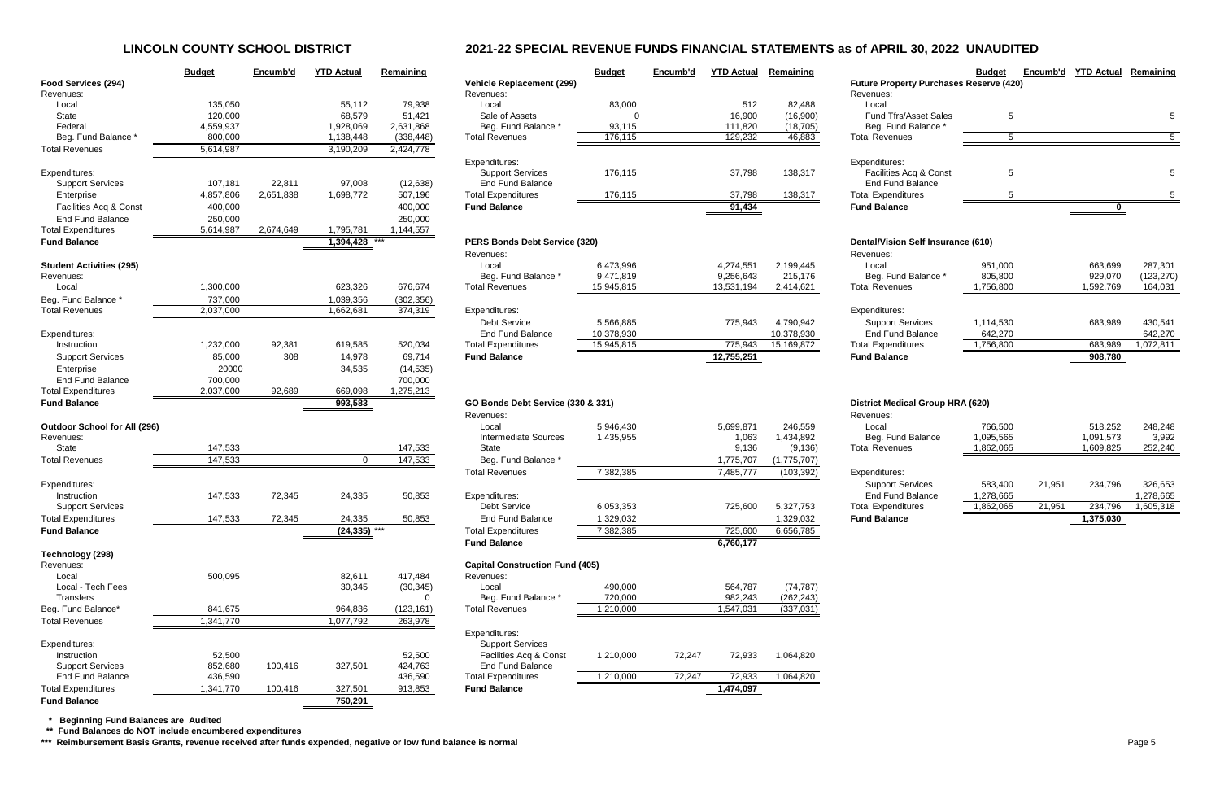**LINCOLN COUNTY SCHOOL DISTRICT 2021-22 SPECIAL REVENUE FUNDS FINANCIAL STATEMENTS as of APRIL 30, 2022 UNAUDITED**

|                                        | <b>Budget</b> | Encumb'd  | <b>YTD Actual</b> | Remaining   |                                              | <b>Budget</b>        | Encumb'd | <b>YTD Actual</b>    | Remaining               |                                                    | <b>Budget</b>          | Encumb'd | <b>YTD Actual</b> | Remaining            |
|----------------------------------------|---------------|-----------|-------------------|-------------|----------------------------------------------|----------------------|----------|----------------------|-------------------------|----------------------------------------------------|------------------------|----------|-------------------|----------------------|
| Food Services (294)                    |               |           |                   |             | <b>Vehicle Replacement (299)</b>             |                      |          |                      |                         | <b>Future Property Purchases Reserve (420)</b>     |                        |          |                   |                      |
| Revenues:                              |               |           |                   |             | Revenues:                                    |                      |          |                      |                         | Revenues:                                          |                        |          |                   |                      |
| Local                                  | 135,050       |           | 55,112            | 79,938      | Local                                        | 83,000               |          | 512                  | 82,488                  | Local                                              |                        |          |                   |                      |
| State                                  | 120,000       |           | 68,579            | 51,421      | Sale of Assets                               |                      |          | 16,900               | (16,900)                | Fund Tfrs/Asset Sales                              | 5                      |          |                   |                      |
| Federal                                | 4,559,937     |           | 1,928,069         | 2,631,868   | Beg. Fund Balance *                          | 93,115               |          | 111,820              | (18, 705)               | Beg. Fund Balance                                  |                        |          |                   |                      |
| Beg. Fund Balance                      | 800,000       |           | 1,138,448         | (338, 448)  | <b>Total Revenues</b>                        | 176,115              |          | 129,232              | 46,883                  | <b>Total Revenues</b>                              | 5                      |          |                   |                      |
| <b>Total Revenues</b>                  | 5,614,987     |           | 3,190,209         | 2,424,778   |                                              |                      |          |                      |                         |                                                    |                        |          |                   |                      |
|                                        |               |           |                   |             | Expenditures:                                |                      |          |                      |                         | Expenditures:                                      |                        |          |                   |                      |
| Expenditures:                          |               |           |                   |             | <b>Support Services</b>                      | 176,115              |          | 37,798               | 138,317                 | Facilities Acq & Const                             | 5                      |          |                   |                      |
| <b>Support Services</b>                | 107,181       | 22,811    | 97,008            | (12, 638)   | End Fund Balance                             |                      |          |                      |                         | <b>End Fund Balance</b>                            |                        |          |                   |                      |
| Enterprise                             | 4,857,806     | 2,651,838 | 1,698,772         | 507,196     | <b>Total Expenditures</b>                    | 176,115              |          | 37,798               | 138,317                 | <b>Total Expenditures</b>                          | 5                      |          |                   |                      |
| Facilities Acq & Const                 | 400,000       |           |                   | 400,000     | <b>Fund Balance</b>                          |                      |          | 91,434               |                         | <b>Fund Balance</b>                                |                        |          |                   |                      |
| <b>End Fund Balance</b>                | 250,000       |           |                   | 250,000     |                                              |                      |          |                      |                         |                                                    |                        |          |                   |                      |
| <b>Total Expenditures</b>              | 5,614,987     | 2,674,649 | 1,795,781         | 1,144,557   |                                              |                      |          |                      |                         |                                                    |                        |          |                   |                      |
| <b>Fund Balance</b>                    |               |           | 1,394,428 **      |             | PERS Bonds Debt Service (320)                |                      |          |                      |                         | <b>Dental/Vision Self Insurance (610)</b>          |                        |          |                   |                      |
|                                        |               |           |                   |             | Revenues:                                    |                      |          |                      |                         | Revenues:                                          |                        |          |                   |                      |
| <b>Student Activities (295)</b>        |               |           |                   |             | Local                                        | 6,473,996            |          | 4,274,551            | 2,199,445               | Local                                              | 951,000                |          | 663,699           | 287,301              |
| Revenues:                              |               |           |                   |             | Beg. Fund Balance                            | 9,471,819            |          | 9,256,643            | 215,176                 | Beg. Fund Balance *                                | 805,800                |          | 929,070           | (123, 270)           |
| Local                                  | 1,300,000     |           | 623,326           | 676,674     | <b>Total Revenues</b>                        | 15,945,815           |          | 13,531,194           | 2,414,621               | <b>Total Revenues</b>                              | 1,756,800              |          | 1,592,769         | 164,031              |
| Beg. Fund Balance *                    | 737,000       |           | 1,039,356         | (302, 356)  |                                              |                      |          |                      |                         |                                                    |                        |          |                   |                      |
| <b>Total Revenues</b>                  | 2,037,000     |           | 1,662,681         | 374,319     | Expenditures:                                |                      |          |                      |                         | Expenditures:                                      |                        |          |                   |                      |
|                                        |               |           |                   |             | Debt Service                                 | 5,566,885            |          | 775,943              | 4,790,942               | <b>Support Services</b>                            | 1,114,530              |          | 683,989           | 430,541              |
| Expenditures:                          |               |           |                   |             | <b>End Fund Balance</b>                      | 10,378,930           |          |                      | 10,378,930              | <b>End Fund Balance</b>                            | 642,270                |          |                   | 642,270              |
| Instruction                            | 1,232,000     | 92,381    | 619,585           | 520,034     | <b>Total Expenditures</b>                    | 15,945,815           |          | 775,943              | 15,169,872              | <b>Total Expenditures</b>                          | 1,756,800              |          | 683,989           | 1,072,811            |
| <b>Support Services</b>                | 85,000        | 308       | 14,978            | 69,714      | <b>Fund Balance</b>                          |                      |          | 12,755,251           |                         | <b>Fund Balance</b>                                |                        |          | 908,780           |                      |
| Enterprise                             | 20000         |           | 34,535            | (14, 535)   |                                              |                      |          |                      |                         |                                                    |                        |          |                   |                      |
| <b>End Fund Balance</b>                | 700,000       |           |                   | 700,000     |                                              |                      |          |                      |                         |                                                    |                        |          |                   |                      |
| <b>Total Expenditures</b>              | 2,037,000     | 92,689    | 669,098           | 1,275,213   |                                              |                      |          |                      |                         |                                                    |                        |          |                   |                      |
| <b>Fund Balance</b>                    |               |           | 993,583           |             | GO Bonds Debt Service (330 & 331)            |                      |          |                      |                         | <b>District Medical Group HRA (620)</b>            |                        |          |                   |                      |
|                                        |               |           |                   |             | Revenues:                                    |                      |          |                      |                         | Revenues:                                          |                        |          |                   |                      |
| <b>Outdoor School for All (296)</b>    |               |           |                   |             | Local                                        | 5,946,430            |          | 5,699,871            | 246,559                 | Local                                              | 766,500                |          | 518,252           | 248,248              |
| Revenues:                              |               |           |                   |             | <b>Intermediate Sources</b>                  | 1,435,955            |          | 1,063                | 1,434,892               | Beg. Fund Balance                                  | 1,095,565              |          | 1,091,573         | 3,992                |
| State                                  | 147,533       |           |                   | 147,533     | State                                        |                      |          | 9,136                | (9, 136)                | <b>Total Revenues</b>                              | 1,862,065              |          | 1,609,825         | 252,240              |
| <b>Total Revenues</b>                  | 147,533       |           | $\overline{0}$    | 147,533     | Beg. Fund Balance *                          |                      |          | 1,775,707            | (1,775,707)             |                                                    |                        |          |                   |                      |
|                                        |               |           |                   |             | <b>Total Revenues</b>                        | 7,382,385            |          | 7,485,777            | (103, 392)              | Expenditures:                                      |                        |          |                   |                      |
|                                        |               |           |                   |             |                                              |                      |          |                      |                         |                                                    |                        |          |                   |                      |
| Expenditures:                          | 147,533       |           |                   |             |                                              |                      |          |                      |                         | <b>Support Services</b><br><b>End Fund Balance</b> | 583,400                | 21,951   | 234,796           | 326,653<br>1,278,665 |
| Instruction<br><b>Support Services</b> |               | 72,345    | 24,335            | 50,853      | Expenditures:<br>Debt Service                | 6,053,353            |          | 725,600              | 5,327,753               | <b>Total Expenditures</b>                          | 1,278,665<br>1,862,065 | 21,951   | 234,796           | 1,605,318            |
| <b>Total Expenditures</b>              |               | 72,345    |                   |             | <b>End Fund Balance</b>                      |                      |          |                      |                         | <b>Fund Balance</b>                                |                        |          |                   |                      |
|                                        | 147,533       |           | 24,335            | 50,853      |                                              | 1,329,032            |          |                      | 1,329,032               |                                                    |                        |          | 1,375,030         |                      |
| <b>Fund Balance</b>                    |               |           | $(24, 335)$ ***   |             | <b>Total Expenditures</b>                    | 7,382,385            |          | 725,600              | 6,656,785               |                                                    |                        |          |                   |                      |
|                                        |               |           |                   |             | <b>Fund Balance</b>                          |                      |          | 6,760,177            |                         |                                                    |                        |          |                   |                      |
| Technology (298)                       |               |           |                   |             |                                              |                      |          |                      |                         |                                                    |                        |          |                   |                      |
| Revenues:                              |               |           |                   |             | <b>Capital Construction Fund (405)</b>       |                      |          |                      |                         |                                                    |                        |          |                   |                      |
| Local                                  | 500,095       |           | 82,611            | 417,484     | Revenues:                                    |                      |          |                      |                         |                                                    |                        |          |                   |                      |
| Local - Tech Fees                      |               |           | 30,345            | (30, 345)   | Local                                        | 490,000              |          | 564,787              | (74, 787)               |                                                    |                        |          |                   |                      |
| <b>Transfers</b><br>Beg. Fund Balance* | 841,675       |           | 964,836           | $\mathbf 0$ | Beg. Fund Balance *<br><b>Total Revenues</b> | 720,000<br>1,210,000 |          | 982,243<br>1,547,031 | (262, 243)<br>(337,031) |                                                    |                        |          |                   |                      |
|                                        |               |           |                   | (123, 161)  |                                              |                      |          |                      |                         |                                                    |                        |          |                   |                      |
| <b>Total Revenues</b>                  | 1,341,770     |           | 1,077,792         | 263,978     |                                              |                      |          |                      |                         |                                                    |                        |          |                   |                      |
|                                        |               |           |                   |             | Expenditures:                                |                      |          |                      |                         |                                                    |                        |          |                   |                      |
| Expenditures:                          |               |           |                   |             | <b>Support Services</b>                      |                      |          |                      |                         |                                                    |                        |          |                   |                      |
| Instruction                            | 52,500        |           |                   | 52,500      | Facilities Acq & Const                       | 1,210,000            | 72,247   | 72,933               | 1,064,820               |                                                    |                        |          |                   |                      |
| <b>Support Services</b>                | 852,680       | 100,416   | 327,501           | 424,763     | <b>End Fund Balance</b>                      |                      |          |                      |                         |                                                    |                        |          |                   |                      |
| <b>End Fund Balance</b>                | 436,590       |           |                   | 436,590     | <b>Total Expenditures</b>                    | 1,210,000            | 72,247   | 72,933               | 1,064,820               |                                                    |                        |          |                   |                      |
| <b>Total Expenditures</b>              | 1,341,770     | 100,416   | 327,501           | 913,853     | <b>Fund Balance</b>                          |                      |          | 1,474,097            |                         |                                                    |                        |          |                   |                      |

|                                     | <b>Budget</b>      | Encumb'd  | <b>YTD Actual</b> | Remaining  |                                        | <b>Budget</b> | Encumb'd | <b>YTD Actual</b> | Remaining   |
|-------------------------------------|--------------------|-----------|-------------------|------------|----------------------------------------|---------------|----------|-------------------|-------------|
| Food Services (294)                 |                    |           |                   |            | <b>Vehicle Replacement (299)</b>       |               |          |                   |             |
| Revenues:                           |                    |           |                   |            | Revenues:                              |               |          |                   |             |
| Local                               | 135,050            |           | 55,112            | 79,938     | Local                                  | 83,000        |          | 512               | 82,488      |
| <b>State</b>                        | 120,000            |           | 68,579            | 51,421     | Sale of Assets                         | 0             |          | 16,900            | (16,900)    |
| Federal                             | 4,559,937          |           | 1,928,069         | 2,631,868  | Beg. Fund Balance *                    | 93,115        |          | 111,820           | (18, 705)   |
| Beg. Fund Balance *                 | 800,000            |           | 1,138,448         | (338, 448) | <b>Total Revenues</b>                  | 176,115       |          | 129,232           | 46,883      |
| <b>Total Revenues</b>               | 5,614,987          |           | 3,190,209         | 2,424,778  |                                        |               |          |                   |             |
|                                     |                    |           |                   |            | Expenditures:                          |               |          |                   |             |
| Expenditures:                       |                    |           |                   |            | <b>Support Services</b>                | 176,115       |          | 37,798            | 138,317     |
| <b>Support Services</b>             | 107,181            | 22,811    | 97,008            | (12, 638)  | <b>End Fund Balance</b>                |               |          |                   |             |
| Enterprise                          | 4,857,806          | 2,651,838 | 1,698,772         | 507,196    | <b>Total Expenditures</b>              | 176,115       |          | 37,798            | 138,317     |
| Facilities Acq & Const              | 400,000            |           |                   | 400,000    | <b>Fund Balance</b>                    |               |          | 91,434            |             |
| <b>End Fund Balance</b>             | 250,000            |           |                   | 250,000    |                                        |               |          |                   |             |
| <b>Total Expenditures</b>           | 5,614,987          | 2,674,649 | 1,795,781         | 1,144,557  |                                        |               |          |                   |             |
|                                     |                    |           |                   |            |                                        |               |          |                   |             |
| <b>Fund Balance</b>                 |                    |           | 1,394,428         |            | PERS Bonds Debt Service (320)          |               |          |                   |             |
|                                     |                    |           |                   |            | Revenues:                              |               |          |                   |             |
| <b>Student Activities (295)</b>     |                    |           |                   |            | Local                                  | 6,473,996     |          | 4,274,551         | 2,199,445   |
| Revenues:                           |                    |           |                   |            | Beg. Fund Balance *                    | 9,471,819     |          | 9,256,643         | 215,176     |
| Local                               | 1,300,000          |           | 623,326           | 676,674    | <b>Total Revenues</b>                  | 15,945,815    |          | 13,531,194        | 2,414,621   |
| Beg. Fund Balance *                 | 737,000            |           | 1,039,356         | (302, 356) |                                        |               |          |                   |             |
| <b>Total Revenues</b>               | 2,037,000          |           | 1,662,681         | 374,319    | Expenditures:                          |               |          |                   |             |
|                                     |                    |           |                   |            | <b>Debt Service</b>                    | 5,566,885     |          | 775,943           | 4,790,942   |
| Expenditures:                       |                    |           |                   |            | <b>End Fund Balance</b>                | 10,378,930    |          |                   | 10,378,930  |
| Instruction                         | 1,232,000          | 92,381    | 619,585           | 520,034    | <b>Total Expenditures</b>              | 15,945,815    |          | 775,943           | 15,169,872  |
| <b>Support Services</b>             | 85,000             | 308       | 14,978            | 69,714     | <b>Fund Balance</b>                    |               |          | 12,755,251        |             |
| Enterprise                          | 20000              |           | 34,535            | (14, 535)  |                                        |               |          |                   |             |
| <b>End Fund Balance</b>             | 700,000            |           |                   | 700,000    |                                        |               |          |                   |             |
| <b>Total Expenditures</b>           | 2,037,000          | 92,689    | 669,098           | 1,275,213  |                                        |               |          |                   |             |
| <b>Fund Balance</b>                 |                    |           | 993,583           |            | GO Bonds Debt Service (330 & 331)      |               |          |                   |             |
|                                     |                    |           |                   |            | Revenues:                              |               |          |                   |             |
| <b>Outdoor School for All (296)</b> |                    |           |                   |            | Local                                  | 5,946,430     |          | 5,699,871         | 246,559     |
| Revenues:                           |                    |           |                   |            | Intermediate Sources                   |               |          |                   | 1,434,892   |
| <b>State</b>                        | 147,533            |           |                   | 147,533    | <b>State</b>                           | 1,435,955     |          | 1,063<br>9,136    |             |
|                                     |                    |           |                   |            |                                        |               |          |                   | (9, 136)    |
| <b>Total Revenues</b>               | 147,533            |           | $\mathbf 0$       | 147,533    | Beg. Fund Balance *                    |               |          | 1,775,707         | (1,775,707) |
|                                     |                    |           |                   |            | <b>Total Revenues</b>                  | 7,382,385     |          | 7,485,777         | (103, 392)  |
| Expenditures:                       |                    |           |                   |            |                                        |               |          |                   |             |
| Instruction                         | 147,533            | 72,345    | 24,335            | 50,853     | Expenditures:                          |               |          |                   |             |
| <b>Support Services</b>             |                    |           |                   |            | <b>Debt Service</b>                    | 6,053,353     |          | 725,600           | 5,327,753   |
| <b>Total Expenditures</b>           | 147,533            | 72,345    | 24,335            | 50,853     | End Fund Balance                       | 1,329,032     |          |                   | 1,329,032   |
| <b>Fund Balance</b>                 |                    |           | (24, 335)         | $***$      | <b>Total Expenditures</b>              | 7,382,385     |          | 725,600           | 6,656,785   |
|                                     |                    |           |                   |            | <b>Fund Balance</b>                    |               |          | 6,760,177         |             |
| Technology (298)                    |                    |           |                   |            |                                        |               |          |                   |             |
| Revenues:                           |                    |           |                   |            | <b>Capital Construction Fund (405)</b> |               |          |                   |             |
| Local                               | 500,095            |           | 82,611            | 417,484    | Revenues:                              |               |          |                   |             |
| Local - Tech Fees                   |                    |           | 30,345            | (30, 345)  | Local                                  | 490,000       |          | 564,787           | (74, 787)   |
| <b>Transfers</b>                    |                    |           |                   | 0          | Beg. Fund Balance *                    | 720,000       |          | 982,243           | (262, 243)  |
| Beg. Fund Balance*                  | 841,675            |           | 964,836           | (123, 161) | <b>Total Revenues</b>                  | 1,210,000     |          | 1,547,031         | (337, 031)  |
| <b>Total Revenues</b>               | 1,341,770          |           | 1,077,792         | 263,978    |                                        |               |          |                   |             |
|                                     |                    |           |                   |            | Expenditures:                          |               |          |                   |             |
| Expenditures:                       |                    |           |                   |            | <b>Support Services</b>                |               |          |                   |             |
| Instruction                         | 52,500             |           |                   | 52,500     | Facilities Acq & Const                 | 1,210,000     | 72,247   | 72,933            | 1,064,820   |
| <b>Support Services</b>             |                    |           |                   | 424,763    | <b>End Fund Balance</b>                |               |          |                   |             |
| <b>End Fund Balance</b>             | 852,680<br>436,590 | 100,416   | 327,501           |            |                                        |               | 72,247   | 72,933            | 1,064,820   |
|                                     |                    |           |                   | 436,590    | <b>Total Expenditures</b>              | 1,210,000     |          |                   |             |
| <b>Total Expenditures</b>           | 1,341,770          | 100,416   | 327,501           | 913,853    | <b>Fund Balance</b>                    |               |          | 1,474,097         |             |
| <b>Fund Balance</b>                 |                    |           | 750,291           |            |                                        |               |          |                   |             |

 **\* Beginning Fund Balances are Audited**

 **\*\* Fund Balances do NOT include encumbered expenditures**

\*\*\* Reimbursement Basis Grants, revenue received after funds expended, negative or low fund balance is normal **Page 1000 and the expended of the second after funds expended, negative or low fund balance is normal <b>Page 100** 

| rs/Asset Sales<br>nd Balance *   | 5 | 5 |
|----------------------------------|---|---|
| nues                             |   | 5 |
|                                  |   |   |
| S.<br>s Acq & Const<br>d Balance | 5 | 5 |
| ditures                          | 5 | 5 |
| ıce                              |   |   |

| ıce            |           | 908,780   |           |
|----------------|-----------|-----------|-----------|
| ditures        | 1,756,800 | 683,989   | 1,072,811 |
| nd Balance     | 642,270   |           | 642,270   |
| s:<br>Services | 1,114,530 | 683.989   | 430,541   |
|                |           |           |           |
| iues           | 1,756,800 | 1,592,769 | 164,031   |
| nd Balance *   | 805,800   | 929,070   | (123,270) |
|                | 951,000   | 663,699   | 287,301   |
|                |           |           |           |

| ıce        |           |        | 1,375,030 |           |
|------------|-----------|--------|-----------|-----------|
| ditures    | 1,862,065 | 21,951 | 234,796   | 1,605,318 |
| nd Balance | 1,278,665 |        |           | 1,278,665 |
| Services   | 583,400   | 21,951 | 234,796   | 326,653   |
| s:         |           |        |           |           |
| iues       | 1,862,065 |        | 1,609,825 | 252,240   |
| nd Balance | 1,095,565 |        | 1,091,573 | 3,992     |
|            | 766,500   |        | 518,252   | 248,248   |
|            |           |        |           |           |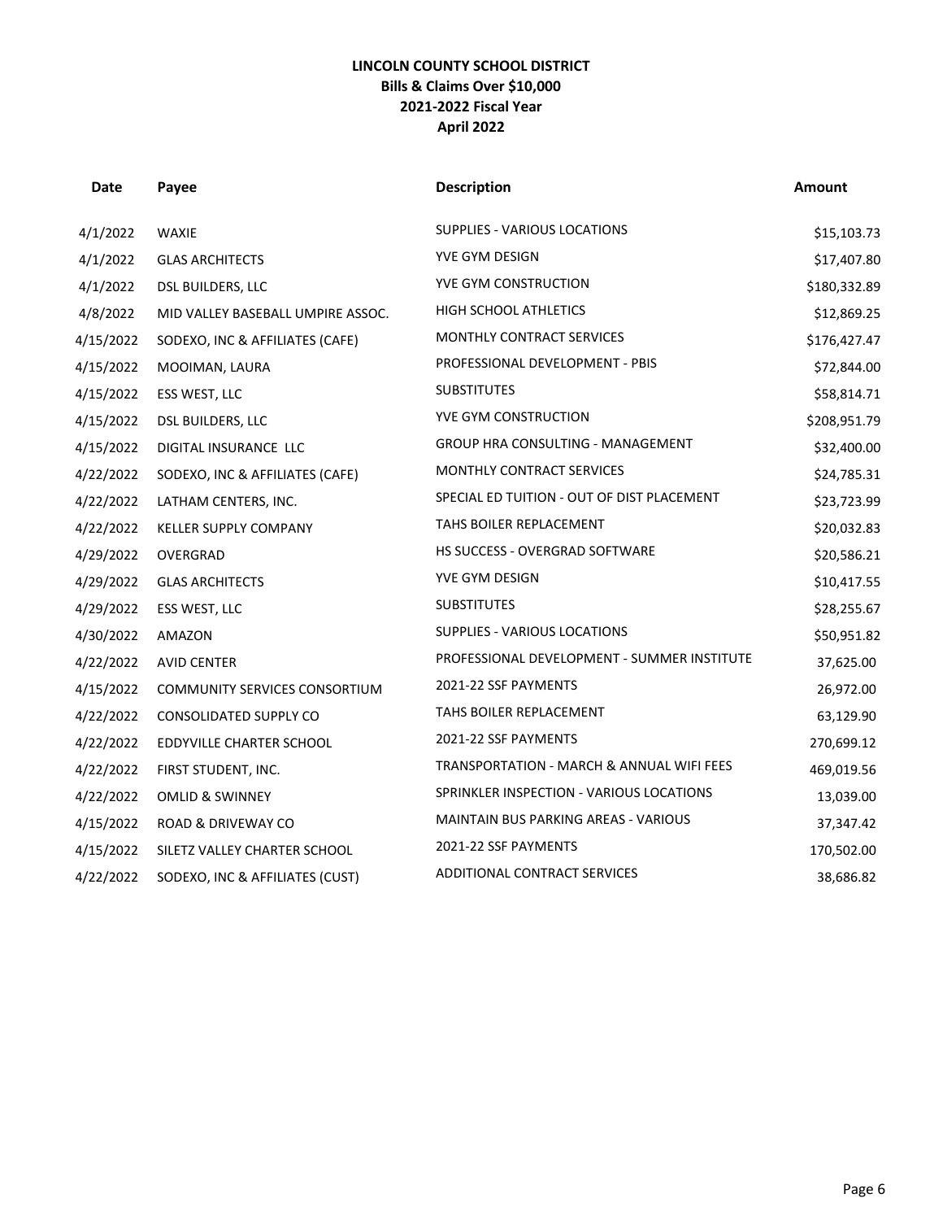## **LINCOLN COUNTY SCHOOL DISTRICT Bills & Claims Over \$10,000 2021-2022 Fiscal Year April 2022**

| Date      | Payee                                | <b>Description</b>                          | Amount       |
|-----------|--------------------------------------|---------------------------------------------|--------------|
| 4/1/2022  | <b>WAXIE</b>                         | SUPPLIES - VARIOUS LOCATIONS                | \$15,103.73  |
| 4/1/2022  | <b>GLAS ARCHITECTS</b>               | YVE GYM DESIGN                              | \$17,407.80  |
| 4/1/2022  | DSL BUILDERS, LLC                    | YVE GYM CONSTRUCTION                        | \$180,332.89 |
| 4/8/2022  | MID VALLEY BASEBALL UMPIRE ASSOC.    | HIGH SCHOOL ATHLETICS                       | \$12,869.25  |
| 4/15/2022 | SODEXO, INC & AFFILIATES (CAFE)      | MONTHLY CONTRACT SERVICES                   | \$176,427.47 |
| 4/15/2022 | MOOIMAN, LAURA                       | PROFESSIONAL DEVELOPMENT - PBIS             | \$72,844.00  |
| 4/15/2022 | ESS WEST, LLC                        | <b>SUBSTITUTES</b>                          | \$58,814.71  |
| 4/15/2022 | DSL BUILDERS, LLC                    | YVE GYM CONSTRUCTION                        | \$208,951.79 |
| 4/15/2022 | DIGITAL INSURANCE LLC                | GROUP HRA CONSULTING - MANAGEMENT           | \$32,400.00  |
| 4/22/2022 | SODEXO, INC & AFFILIATES (CAFE)      | MONTHLY CONTRACT SERVICES                   | \$24,785.31  |
| 4/22/2022 | LATHAM CENTERS, INC.                 | SPECIAL ED TUITION - OUT OF DIST PLACEMENT  | \$23,723.99  |
| 4/22/2022 | KELLER SUPPLY COMPANY                | TAHS BOILER REPLACEMENT                     | \$20,032.83  |
| 4/29/2022 | OVERGRAD                             | <b>HS SUCCESS - OVERGRAD SOFTWARE</b>       | \$20,586.21  |
| 4/29/2022 | <b>GLAS ARCHITECTS</b>               | YVE GYM DESIGN                              | \$10,417.55  |
| 4/29/2022 | ESS WEST, LLC                        | <b>SUBSTITUTES</b>                          | \$28,255.67  |
| 4/30/2022 | AMAZON                               | SUPPLIES - VARIOUS LOCATIONS                | \$50,951.82  |
| 4/22/2022 | <b>AVID CENTER</b>                   | PROFESSIONAL DEVELOPMENT - SUMMER INSTITUTE | 37,625.00    |
| 4/15/2022 | <b>COMMUNITY SERVICES CONSORTIUM</b> | 2021-22 SSF PAYMENTS                        | 26,972.00    |
| 4/22/2022 | CONSOLIDATED SUPPLY CO               | TAHS BOILER REPLACEMENT                     | 63,129.90    |
| 4/22/2022 | EDDYVILLE CHARTER SCHOOL             | 2021-22 SSF PAYMENTS                        | 270,699.12   |
| 4/22/2022 | FIRST STUDENT, INC.                  | TRANSPORTATION - MARCH & ANNUAL WIFI FEES   | 469,019.56   |
| 4/22/2022 | <b>OMLID &amp; SWINNEY</b>           | SPRINKLER INSPECTION - VARIOUS LOCATIONS    | 13,039.00    |
| 4/15/2022 | <b>ROAD &amp; DRIVEWAY CO</b>        | <b>MAINTAIN BUS PARKING AREAS - VARIOUS</b> | 37,347.42    |
| 4/15/2022 | SILETZ VALLEY CHARTER SCHOOL         | 2021-22 SSF PAYMENTS                        | 170,502.00   |
| 4/22/2022 | SODEXO, INC & AFFILIATES (CUST)      | ADDITIONAL CONTRACT SERVICES                | 38,686.82    |